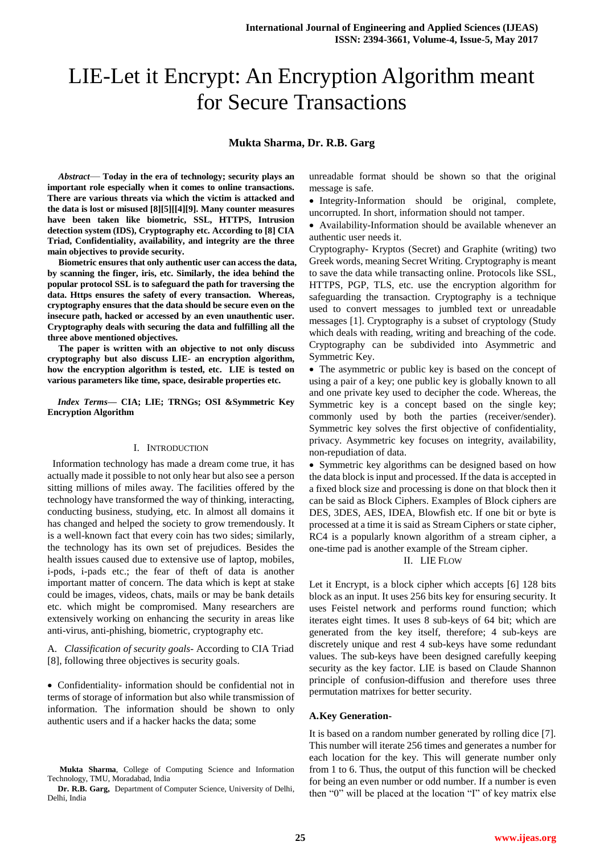# LIE-Let it Encrypt: An Encryption Algorithm meant for Secure Transactions

## **Mukta Sharma, Dr. R.B. Garg**

*Abstract*— **Today in the era of technology; security plays an important role especially when it comes to online transactions. There are various threats via which the victim is attacked and the data is lost or misused [8][5][[4][9]. Many counter measures have been taken like biometric, SSL, HTTPS, Intrusion detection system (IDS), Cryptography etc. According to [8] CIA Triad, Confidentiality, availability, and integrity are the three main objectives to provide security.** 

**Biometric ensures that only authentic user can access the data, by scanning the finger, iris, etc. Similarly, the idea behind the popular protocol SSL is to safeguard the path for traversing the data. Https ensures the safety of every transaction. Whereas, cryptography ensures that the data should be secure even on the insecure path, hacked or accessed by an even unauthentic user. Cryptography deals with securing the data and fulfilling all the three above mentioned objectives.**

**The paper is written with an objective to not only discuss cryptography but also discuss LIE- an encryption algorithm, how the encryption algorithm is tested, etc. LIE is tested on various parameters like time, space, desirable properties etc.**

*Index Terms***— CIA; LIE; TRNGs; OSI &Symmetric Key Encryption Algorithm**

#### I. INTRODUCTION

 Information technology has made a dream come true, it has actually made it possible to not only hear but also see a person sitting millions of miles away. The facilities offered by the technology have transformed the way of thinking, interacting, conducting business, studying, etc. In almost all domains it has changed and helped the society to grow tremendously. It is a well-known fact that every coin has two sides; similarly, the technology has its own set of prejudices. Besides the health issues caused due to extensive use of laptop, mobiles, i-pods, i-pads etc.; the fear of theft of data is another important matter of concern. The data which is kept at stake could be images, videos, chats, mails or may be bank details etc. which might be compromised. Many researchers are extensively working on enhancing the security in areas like anti-virus, anti-phishing, biometric, cryptography etc.

A. *Classification of security goals-* According to CIA Triad [8], following three objectives is security goals.

 Confidentiality- information should be confidential not in terms of storage of information but also while transmission of information. The information should be shown to only authentic users and if a hacker hacks the data; some

unreadable format should be shown so that the original message is safe.

• Integrity-Information should be original, complete, uncorrupted. In short, information should not tamper.

 Availability-Information should be available whenever an authentic user needs it.

Cryptography- Kryptos (Secret) and Graphite (writing) two Greek words, meaning Secret Writing. Cryptography is meant to save the data while transacting online. Protocols like SSL, HTTPS, PGP, TLS, etc. use the encryption algorithm for safeguarding the transaction. Cryptography is a technique used to convert messages to jumbled text or unreadable messages [1]. Cryptography is a subset of cryptology (Study which deals with reading, writing and breaching of the code. Cryptography can be subdivided into Asymmetric and Symmetric Key.

 The asymmetric or public key is based on the concept of using a pair of a key; one public key is globally known to all and one private key used to decipher the code. Whereas, the Symmetric key is a concept based on the single key; commonly used by both the parties (receiver/sender). Symmetric key solves the first objective of confidentiality, privacy. Asymmetric key focuses on integrity, availability, non-repudiation of data.

• Symmetric key algorithms can be designed based on how the data block is input and processed. If the data is accepted in a fixed block size and processing is done on that block then it can be said as Block Ciphers. Examples of Block ciphers are DES, 3DES, AES, IDEA, Blowfish etc. If one bit or byte is processed at a time it is said as Stream Ciphers or state cipher, RC4 is a popularly known algorithm of a stream cipher, a one-time pad is another example of the Stream cipher.

II. LIE FLOW

Let it Encrypt, is a block cipher which accepts [6] 128 bits block as an input. It uses 256 bits key for ensuring security. It uses Feistel network and performs round function; which iterates eight times. It uses 8 sub-keys of 64 bit; which are generated from the key itself, therefore; 4 sub-keys are discretely unique and rest 4 sub-keys have some redundant values. The sub-keys have been designed carefully keeping security as the key factor. LIE is based on Claude Shannon principle of confusion-diffusion and therefore uses three permutation matrixes for better security.

#### **A.Key Generation-**

It is based on a random number generated by rolling dice [7]. This number will iterate 256 times and generates a number for each location for the key. This will generate number only from 1 to 6. Thus, the output of this function will be checked for being an even number or odd number. If a number is even then "0" will be placed at the location "I" of key matrix else

**Mukta Sharma**, College of Computing Science and Information Technology, TMU, Moradabad, India

**Dr. R.B. Garg,** Department of Computer Science, University of Delhi, Delhi, India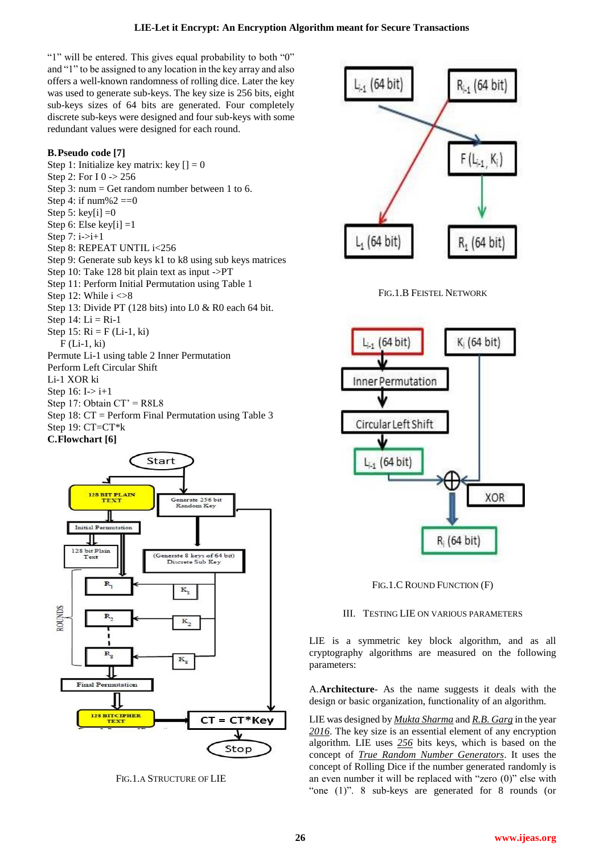## **LIE-Let it Encrypt: An Encryption Algorithm meant for Secure Transactions**

"1" will be entered. This gives equal probability to both "0" and "1" to be assigned to any location in the key array and also offers a well-known randomness of rolling dice. Later the key was used to generate sub-keys. The key size is 256 bits, eight sub-keys sizes of 64 bits are generated. Four completely discrete sub-keys were designed and four sub-keys with some redundant values were designed for each round.

## **B.Pseudo code [7]**

Step 1: Initialize key matrix: key  $[1] = 0$ Step 2: For I 0 -> 256 Step 3: num = Get random number between 1 to 6. Step 4: if  $num\%2 == 0$ Step 5: key $[i] = 0$ Step 6: Else key[i] =1 Step  $7: i \rightarrow i+1$ Step 8: REPEAT UNTIL i<256 Step 9: Generate sub keys k1 to k8 using sub keys matrices Step 10: Take 128 bit plain text as input ->PT Step 11: Perform Initial Permutation using Table 1 Step 12: While  $i < 8$ Step 13: Divide PT (128 bits) into L0 & R0 each 64 bit. Step  $14$ : Li = Ri-1 Step 15:  $Ri = F (Li-1, ki)$ F (Li-1, ki) Permute Li-1 using table 2 Inner Permutation Perform Left Circular Shift Li-1 XOR ki Step 16:  $I > i+1$ Step 17: Obtain CT' = R8L8 Step 18: CT = Perform Final Permutation using Table 3 Step 19: CT=CT\*k

## **C.Flowchart [6]**



FIG.1.A STRUCTURE OF LIE



FIG.1.B FEISTEL NETWORK



FIG.1.C ROUND FUNCTION (F)

## III. TESTING LIE ON VARIOUS PARAMETERS

LIE is a symmetric key block algorithm, and as all cryptography algorithms are measured on the following parameters:

A.**Architecture**- As the name suggests it deals with the design or basic organization, functionality of an algorithm.

LIE was designed by *Mukta Sharma* and *R.B. Garg* in the year *2016*. The key size is an essential element of any encryption algorithm. LIE uses *256* bits keys, which is based on the concept of *True Random Number Generators*. It uses the concept of Rolling Dice if the number generated randomly is an even number it will be replaced with "zero (0)" else with "one (1)". 8 sub-keys are generated for 8 rounds (or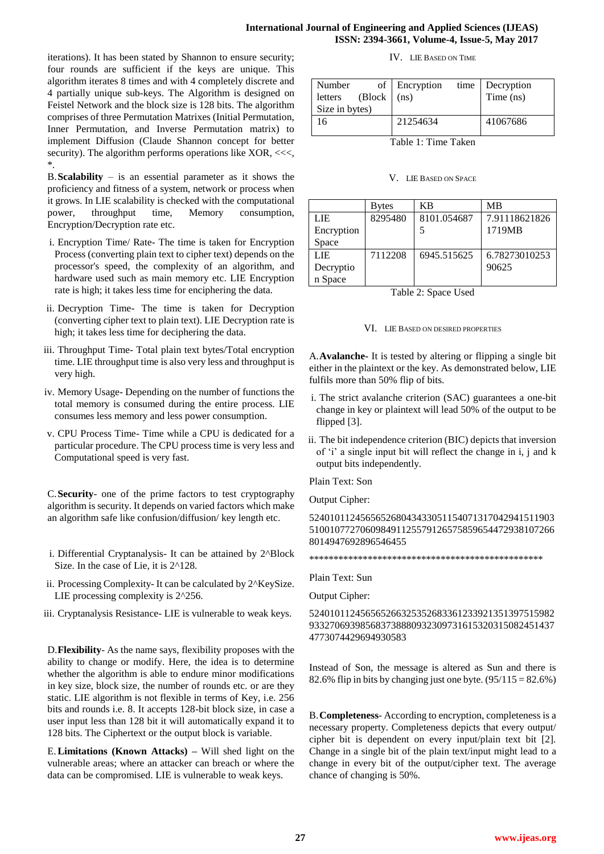iterations). It has been stated by Shannon to ensure security; four rounds are sufficient if the keys are unique. This algorithm iterates 8 times and with 4 completely discrete and 4 partially unique sub-keys. The Algorithm is designed on Feistel Network and the block size is 128 bits. The algorithm comprises of three Permutation Matrixes (Initial Permutation, Inner Permutation, and Inverse Permutation matrix) to implement Diffusion (Claude Shannon concept for better security). The algorithm performs operations like XOR, <<<, \*.

B.**Scalability** – is an essential parameter as it shows the proficiency and fitness of a system, network or process when it grows. In LIE scalability is checked with the computational power, throughput time, Memory consumption, Encryption/Decryption rate etc.

- i. Encryption Time/ Rate- The time is taken for Encryption Process (converting plain text to cipher text) depends on the processor's speed, the complexity of an algorithm, and hardware used such as main memory etc. LIE Encryption rate is high; it takes less time for enciphering the data.
- ii. Decryption Time- The time is taken for Decryption (converting cipher text to plain text). LIE Decryption rate is high; it takes less time for deciphering the data.
- iii. Throughput Time- Total plain text bytes/Total encryption time. LIE throughput time is also very less and throughput is very high.
- iv. Memory Usage- Depending on the number of functions the total memory is consumed during the entire process. LIE consumes less memory and less power consumption.
- v. CPU Process Time- Time while a CPU is dedicated for a particular procedure. The CPU process time is very less and Computational speed is very fast.

C.**Security**- one of the prime factors to test cryptography algorithm is security. It depends on varied factors which make an algorithm safe like confusion/diffusion/ key length etc.

- i. Differential Cryptanalysis- It can be attained by 2^Block Size. In the case of Lie, it is  $2^{\wedge}128$ .
- ii. Processing Complexity- It can be calculated by 2^KeySize. LIE processing complexity is 2^256.
- iii. Cryptanalysis Resistance- LIE is vulnerable to weak keys.

D.**Flexibility**- As the name says, flexibility proposes with the ability to change or modify. Here, the idea is to determine whether the algorithm is able to endure minor modifications in key size, block size, the number of rounds etc. or are they static. LIE algorithm is not flexible in terms of Key, i.e. 256 bits and rounds i.e. 8. It accepts 128-bit block size, in case a user input less than 128 bit it will automatically expand it to 128 bits. The Ciphertext or the output block is variable.

E.**Limitations (Known Attacks) –** Will shed light on the vulnerable areas; where an attacker can breach or where the data can be compromised. LIE is vulnerable to weak keys.

## IV. LIE BASED ON TIME

| Number<br>$\left( \text{Block} \mid \text{(ns)} \right)$<br>letters<br>Size in bytes) | of Encryption | time Decryption<br>Time (ns) |
|---------------------------------------------------------------------------------------|---------------|------------------------------|
| 16                                                                                    | 21254634      | 41067686                     |

Table 1: Time Taken

#### V. LIE BASED ON SPACE

|            | Bytes   | KB          | МB            |
|------------|---------|-------------|---------------|
| LIE        | 8295480 | 8101.054687 | 7.91118621826 |
| Encryption |         |             | 1719MB        |
| Space      |         |             |               |
| LIE        | 7112208 | 6945.515625 | 6.78273010253 |
| Decryptio  |         |             | 90625         |
| n Space    |         |             |               |

Table 2: Space Used

## VI. LIE BASED ON DESIRED PROPERTIES

A.**Avalanche-** It is tested by altering or flipping a single bit either in the plaintext or the key. As demonstrated below, LIE fulfils more than 50% flip of bits.

- i. The strict avalanche criterion (SAC) guarantees a one-bit change in key or plaintext will lead 50% of the output to be flipped [3].
- ii. The bit independence criterion (BIC) depicts that inversion of 'i' a single input bit will reflect the change in i, j and k output bits independently.

Plain Text: Son

Output Cipher:

524010112456565268043433051154071317042941511903 510010772706098491125579126575859654472938107266 8014947692896546455

\*\*\*\*\*\*\*\*\*\*\*\*\*\*\*\*\*\*\*\*\*\*\*\*\*\*\*\*\*\*\*\*\*\*\*\*\*\*\*\*\*\*\*\*\*\*\*\*

Plain Text: Sun

Output Cipher:

524010112456565266325352683361233921351397515982 933270693985683738880932309731615320315082451437 4773074429694930583

Instead of Son, the message is altered as Sun and there is 82.6% flip in bits by changing just one byte.  $(95/115 = 82.6\%)$ 

B.**Completeness**- According to encryption, completeness is a necessary property. Completeness depicts that every output/ cipher bit is dependent on every input/plain text bit [2]. Change in a single bit of the plain text/input might lead to a change in every bit of the output/cipher text. The average chance of changing is 50%.